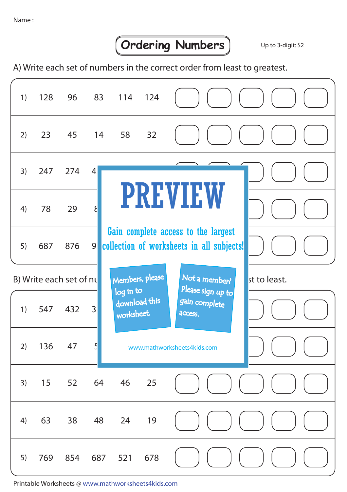## **Ordering Numbers** Up to 3-digit: S2

A) Write each set of numbers in the correct order from least to greatest.

| 1) | 128                                                         | 96    | 83             | 114 124                 |                                                                                  |                                               |              |
|----|-------------------------------------------------------------|-------|----------------|-------------------------|----------------------------------------------------------------------------------|-----------------------------------------------|--------------|
| 2) | 23                                                          | 45 14 |                | 58                      | 32                                                                               |                                               |              |
| 3) | 247                                                         | 274   | $\overline{4}$ |                         |                                                                                  |                                               |              |
| 4) | 78                                                          | 29    | $\mathcal{E}$  |                         |                                                                                  | <b>PREVIEW</b>                                |              |
| 5) | 687                                                         | 876   | 9 <sub>1</sub> |                         | Gain complete access to the largest<br>collection of worksheets in all subjects! |                                               |              |
|    | Members, please<br>Not a member?<br>B) Write each set of nu |       |                |                         |                                                                                  |                                               | st to least. |
| 1) | 547                                                         | 432   | 3              | log in to<br>worksheet. | download this                                                                    | Please sign up to<br>gain complete<br>access. |              |
| 2) | 136                                                         | 47    | $\overline{5}$ |                         |                                                                                  | www.mathworksheets4kids.com                   |              |
| 3) | 15                                                          | 52    | 64             | 46                      | 25                                                                               |                                               |              |
| 4) | 63                                                          | 38    | 48             | 24                      | 19                                                                               |                                               |              |
| 5) | 769                                                         | 854   | 687            | 521                     | 678                                                                              |                                               |              |

Printable Worksheets @ www.mathworksheets4kids.com